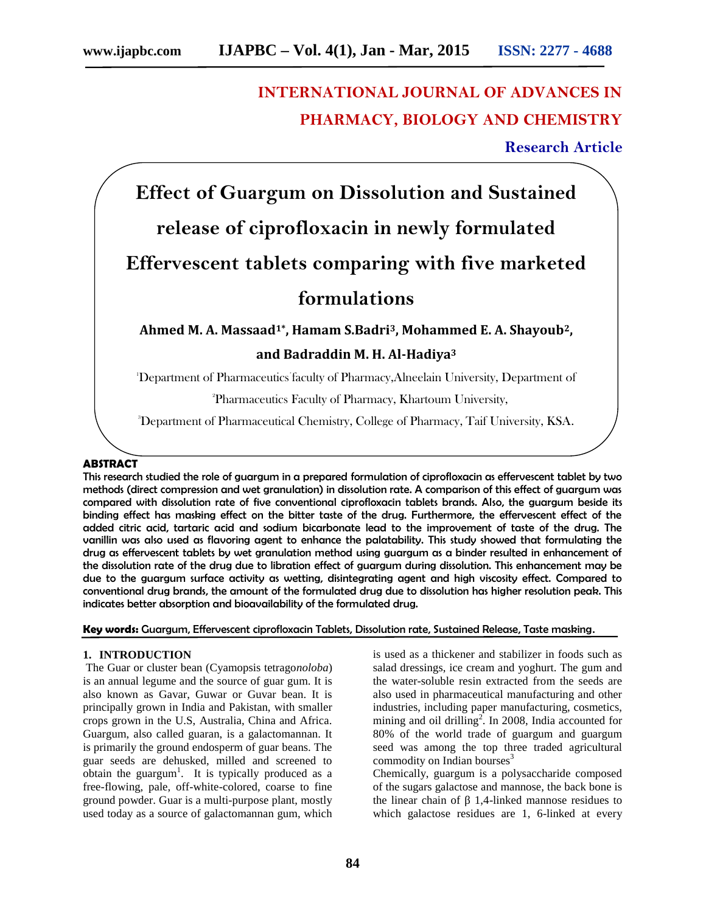# **INTERNATIONAL JOURNAL OF ADVANCES IN PHARMACY, BIOLOGY AND CHEMISTRY**

## **Research Article**

**Effect of Guargum on Dissolution and Sustained release of ciprofloxacin in newly formulated Effervescent tablets comparing with five marketed formulations**

**Ahmed M. A. Massaad1\*, Hamam S.Badri3, Mohammed E. A. Shayoub2,**

### **and Badraddin M. H. Al-Hadiya<sup>3</sup>**

<sup>1</sup>Department of Pharmaceutics faculty of Pharmacy,Alneelain University, Department of

<sup>2</sup>Pharmaceutics Faculty of Pharmacy, Khartoum University,

3Department of Pharmaceutical Chemistry, College of Pharmacy, Taif University, KSA.

#### **ABSTRACT**

This research studied the role of guargum in a prepared formulation of ciprofloxacin as effervescent tablet by two methods (direct compression and wet granulation) in dissolution rate. A comparison of this effect of guargum was compared with dissolution rate of five conventional ciprofloxacin tablets brands. Also, the guargum beside its binding effect has masking effect on the bitter taste of the drug. Furthermore, the effervescent effect of the added citric acid, tartaric acid and sodium bicarbonate lead to the improvement of taste of the drug. The vanillin was also used as flavoring agent to enhance the palatability. This study showed that formulating the drug as effervescent tablets by wet granulation method using guargum as a binder resulted in enhancement of the dissolution rate of the drug due to libration effect of guargum during dissolution. This enhancement may be due to the guargum surface activity as wetting, disintegrating agent and high viscosity effect. Compared to conventional drug brands, the amount of the formulated drug due to dissolution has higher resolution peak. This indicates better absorption and bioavailability of the formulated drug.

#### **Key words:** Guargum, Effervescent ciprofloxacin Tablets, Dissolution rate, Sustained Release, Taste masking.

#### **1. INTRODUCTION**

The Guar or cluster bean (Cyamopsis tetrago*noloba*) is an annual legume and the source of guar gum. It is also known as Gavar, Guwar or Guvar bean. It is principally grown in India and Pakistan, with smaller crops grown in the U.S, Australia, China and Africa. Guargum, also called guaran, is a galactomannan. It is primarily the ground endosperm of guar beans. The guar seeds are dehusked, milled and screened to obtain the guargum<sup>1</sup>. It is typically produced as a free-flowing, pale, off-white-colored, coarse to fine ground powder. Guar is a multi-purpose plant, mostly used today as a source of galactomannan gum, which

is used as a thickener and stabilizer in foods such as salad dressings, ice cream and yoghurt. The gum and the water-soluble resin extracted from the seeds are also used in pharmaceutical manufacturing and other industries, including paper manufacturing, cosmetics, mining and oil drilling<sup>2</sup>. In 2008, India accounted for 80% of the world trade of guargum and guargum seed was among the top three traded agricultural commodity on Indian bourses $3$ 

Chemically, guargum is a polysaccharide composed of the sugars galactose and mannose, the back bone is 1.4-linked mannose residues to which galactose residues are 1, 6-linked at every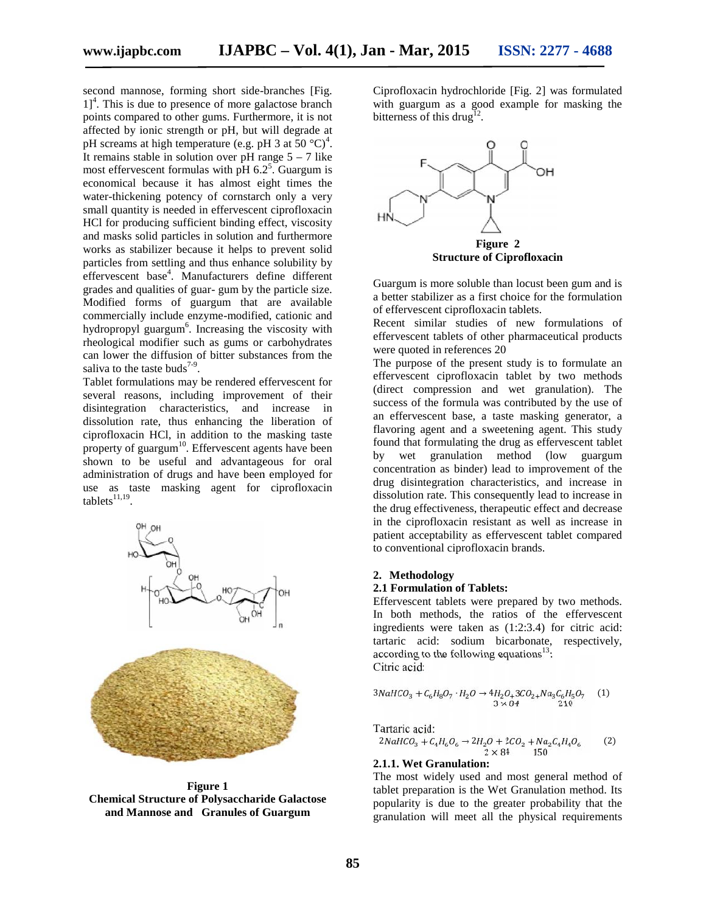second mannose, forming short side-branches [Fig.  $1$ <sup>4</sup>. This is due to presence of more galactose branch  $1$ <sup>4</sup>. This is due to presence of more galactose branch points compared to other gums. Furthermore, it is not affected by ionic strength or pH, but will degrade at pH screams at high temperature (e.g. pH 3 at  $50 \degree C)^4$ . pH screams at high temperature (e.g. pH 3 at 50 °C)<sup>4</sup>.<br>It remains stable in solution over pH range 5 – 7 like most effervescent formulas with  $\overline{p}$ H 6.2<sup>5</sup>. Guargum is economical because it has almost eight times the water-thickening potency of cornstarch only a very small quantity is needed in effervescent ciprofloxacin HCl for producing sufficient binding effect, viscosity and masks solid particles in solution and furthermore works as stabilizer because it helps to prevent solid particles from settling and thus enhance solubility by particles from settling and thus enhance solubility by<br>effervescent base<sup>4</sup>. Manufacturers define different grades and qualities of guar- gum by the particle size. grades and qualities of guar- gum by the particle size.<br>Modified forms of guargum that are available commercially include enzyme-modified, cationic and hydropropyl guargum<sup>6</sup>. Increasing the viscosity with rheological modifier such as gums or carbohydrates can lower the diffusion of bitter substances from the saliva to the taste buds<sup>7-9</sup>. most effervescent formulas with pH 6.2<sup>5</sup>. Guargum is<br>economical because it has almost eight times the<br>water-thickening potency of cornstarch only a very<br>small quantity is needed in effervescent ciprofloxacin<br>HCl for produ logical modifier such as<br>lower the diffusion of bit<br>a to the taste buds<sup>7-9</sup>.

Tablet formulations may be rendered effervescent for Tablet formulations may be rendered effervescent for<br>several reasons, including improvement of their disintegration characteristics, and increase in dissolution rate, thus enhancing the liberation of ciprofloxacin HCl, in addition to the masking taste property of guargum<sup>10</sup>. Effervescent agents have been shown to be useful and advantageous for oral administration of drugs and have been employed for use as taste masking agent for ciprofloxacin tablets $^{11,19}$ . ration characteristics, and increase in<br>on rate, thus enhancing the liberation of<br>vacin HCl, in addition to the masking taste<br>of guargum<sup>10</sup>. Effervescent agents have been<br>to be useful and advantageous for oral



**Figure 1 Chemical Structure of Polysaccharide Galactose Polysaccharide Galactose and Mannose and Granules of Guargum**

Ciprofloxacin hydrochloride [Fig. 2] was formulated with guargum as a good example for masking the bitterness of this drug<sup>12</sup>. .



Guargum is more soluble than locust been gum and is a better stabilizer as a first choice for the formulation of effervescent ciprofloxacin tablets.

Recent similar studies of new formulations of effervescent tablets of other pharmaceutical products were quoted in references 20 Recent similar studies of new formula<br>effervescent tablets of other pharmaceutical<br>were quoted in references 20

The purpose of the present study is to formulate an effervescent ciprofloxacin tablet by two methods (direct compression and wet granulation). The success of the formula was contributed by the use of an effervescent base, a taste masking generator, a flavoring agent and a sweetening agent. This study found that formulating the drug as effervescent tablet by wet granulation method (low guargum concentration as binder) lead to improvement of the drug disintegration characteristics, and increase in dissolution rate. This consequently lead to increase in the drug effectiveness, therapeutic effect and decrease in the ciprofloxacin resistant as well as increase in patient acceptability as effervescent tablet compared to conventional ciprofloxacin brands. de-hennelice is in the controller of the controller (see the choice is a state masking the choice is a state of the choice of the choice of the choice of the particular of the particular of the particular of the controller The purpose of the present study is to formulate an effervescent ciprofloxacin tablet by two methods (direct compression and wet granulation). The success of the formula was contributed by the use of an effervescent base, by wet granulation method (low guargum<br>concentration as binder) lead to improvement of the<br>drug disintegration characteristics, and increase in<br>dissolution rate. This consequently lead to increase in<br>the drug effectiveness settling und thus confunctions and the content of the physical settling and the content of the physical content of the statistic of the content of the physical content of the statistic of the formulation of energy conte

#### **2. Methodology**

#### **2.1 Formulation of Tablets:**

Effervescent tablets were prepared by two methods. In both methods, the ratios of the effervescent ingredients were taken as (1:2:3.4) for citric acid: tartaric acid: sodium bicarbonate, respectively, according to the following equations<sup>13</sup>: Citric acid: Effervescent tablets were prepared by two methods.<br>In both methods, the ratios of the effervescent ingredients were taken as  $(1:2:3.4)$  for citric acid:<br>tartaric acid: sodium bicarbonate, respectively,<br>according to the f

$$
3NaHCO_3 + C_6H_8O_7 \cdot H_2O \rightarrow 4H_2O_4 3CO_{2+} Na_3C_6H_5O_7 \quad (1) \\ 3 \times 84 \quad 210
$$

Tartaric acid:

$$
2NaHCO_3 + C_4H_6O_6 \rightarrow 2H_2O + 2CO_2 + Na_2C_4H_4O_6 \tag{2}
$$
  

$$
2 \times 84 \qquad 150
$$

#### **2.1.1. Wet Granulation:**

The most widely used and most general method of tablet preparation is the Wet Granulation method. Its popularity is due to the greater probability that the granulation will meet all the physical requirements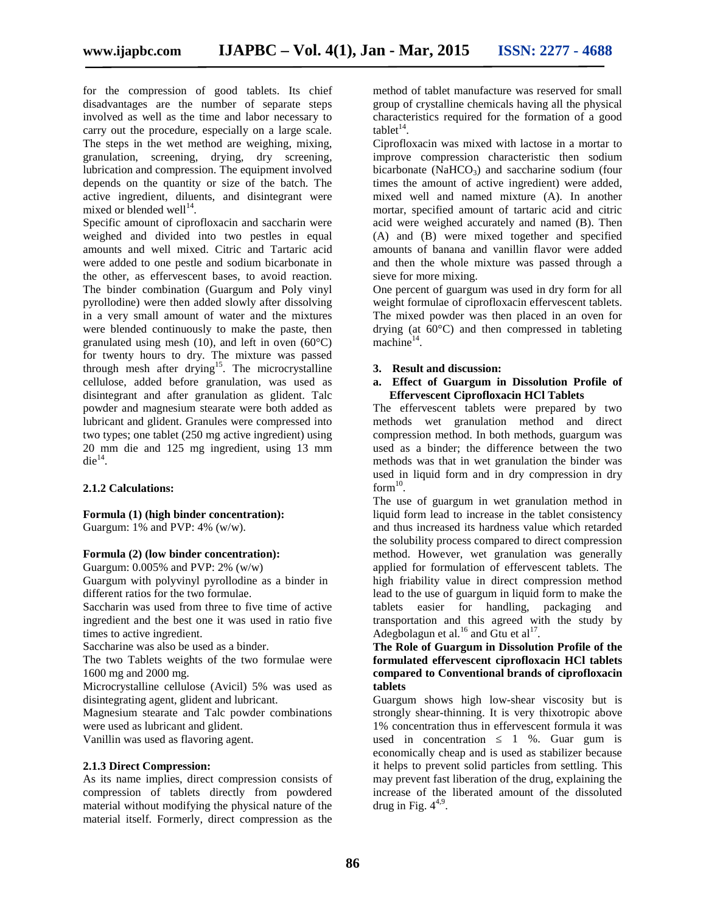for the compression of good tablets. Its chief disadvantages are the number of separate steps involved as well as the time and labor necessary to carry out the procedure, especially on a large scale. The steps in the wet method are weighing, mixing, granulation, screening, drying, dry screening, lubrication and compression. The equipment involved depends on the quantity or size of the batch. The active ingredient, diluents, and disintegrant were mixed or blended well $^{14}$ .

Specific amount of ciprofloxacin and saccharin were weighed and divided into two pestles in equal amounts and well mixed. Citric and Tartaric acid were added to one pestle and sodium bicarbonate in the other, as effervescent bases, to avoid reaction. The binder combination (Guargum and Poly vinyl pyrollodine) were then added slowly after dissolving in a very small amount of water and the mixtures were blended continuously to make the paste, then granulated using mesh (10), and left in oven  $(60^{\circ}C)$ for twenty hours to dry. The mixture was passed through mesh after drying<sup>15</sup>. The microcrystalline cellulose, added before granulation, was used as disintegrant and after granulation as glident. Talc powder and magnesium stearate were both added as lubricant and glident. Granules were compressed into two types; one tablet (250 mg active ingredient) using 20 mm die and 125 mg ingredient, using 13 mm  $\text{die}^{14}$ .

#### **2.1.2 Calculations:**

**Formula (1) (high binder concentration):** Guargum: 1% and PVP: 4% (w/w).

#### **Formula (2) (low binder concentration):**

Guargum: 0.005% and PVP: 2% (w/w)

Guargum with polyvinyl pyrollodine as a binder in different ratios for the two formulae.

Saccharin was used from three to five time of active ingredient and the best one it was used in ratio five times to active ingredient.

Saccharine was also be used as a binder.

The two Tablets weights of the two formulae were 1600 mg and 2000 mg.

Microcrystalline cellulose (Avicil) 5% was used as disintegrating agent, glident and lubricant.

Magnesium stearate and Talc powder combinations were used as lubricant and glident.

Vanillin was used as flavoring agent.

#### **2.1.3 Direct Compression:**

As its name implies, direct compression consists of compression of tablets directly from powdered material without modifying the physical nature of the material itself. Formerly, direct compression as the method of tablet manufacture was reserved for small group of crystalline chemicals having all the physical characteristics required for the formation of a good tablet $^{14}$ .

Ciprofloxacin was mixed with lactose in a mortar to improve compression characteristic then sodium bicarbonate (NaHCO<sub>3</sub>) and saccharine sodium (four times the amount of active ingredient) were added, mixed well and named mixture (A). In another mortar, specified amount of tartaric acid and citric acid were weighed accurately and named (B). Then (A) and (B) were mixed together and specified amounts of banana and vanillin flavor were added and then the whole mixture was passed through a sieve for more mixing.

One percent of guargum was used in dry form for all weight formulae of ciprofloxacin effervescent tablets. The mixed powder was then placed in an oven for drying (at 60°C) and then compressed in tableting  $machine<sup>14</sup>$ .

#### **3. Result and discussion:**

#### **a. Effect of Guargum in Dissolution Profile of Effervescent Ciprofloxacin HCl Tablets**

The effervescent tablets were prepared by two methods wet granulation method and direct compression method. In both methods, guargum was used as a binder; the difference between the two methods was that in wet granulation the binder was used in liquid form and in dry compression in dry form $^{10}$ .

The use of guargum in wet granulation method in liquid form lead to increase in the tablet consistency and thus increased its hardness value which retarded the solubility process compared to direct compression method. However, wet granulation was generally applied for formulation of effervescent tablets. The high friability value in direct compression method lead to the use of guargum in liquid form to make the tablets easier for handling, packaging and transportation and this agreed with the study by Adegbolagun et al.<sup>16</sup> and Gtu et al<sup>17</sup>.

#### **The Role of Guargum in Dissolution Profile of the formulated effervescent ciprofloxacin HCl tablets compared to Conventional brands of ciprofloxacin tablets**

Guargum shows high low-shear viscosity but is strongly shear-thinning. It is very thixotropic above 1% concentration thus in effervescent formula it was used in concentration  $1\%$ . Guar gum is economically cheap and is used as stabilizer because it helps to prevent solid particles from settling. This may prevent fast liberation of the drug, explaining the increase of the liberated amount of the dissoluted drug in Fig.  $4^{4,9}$ .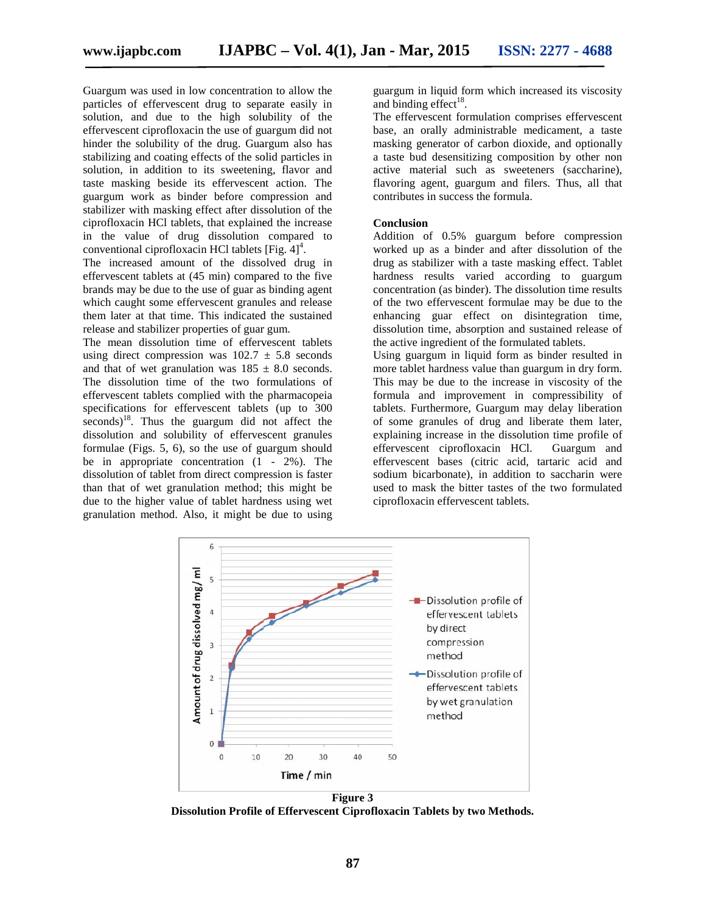Guargum was used in low concentration to allow the particles of effervescent drug to separate easily in solution, and due to the high solubility of the effervescent ciprofloxacin the use of guargum did not hinder the solubility of the drug. Guargum also has stabilizing and coating effects of the solid particles in solution, in addition to its sweetening, flavor and Guargum was used in low concentration to allow the particles of effervescent drug to separate easily in solution, and due to the high solubility of the effervescent ciprofloxacin the use of guargum did not hinder the solub guargum work as binder before compression and stabilizer with masking effect after dissolution of the ciprofloxacin HCl tablets, that explained the increase HCl in the value of drug dissolution compared to conventional ciprofloxacin HCl tablets  $[Fig. 4]<sup>4</sup>$ .

The increased amount of the dissolved drug in effervescent tablets at (45 min) compared to the five brands may be due to the use of guar as binding agent which caught some effervescent granules and release them later at that time. This indicated the sustained release and stabilizer properties of guar gum. brands may be due to the use of guar as binding agent<br>which caught some effervescent granules and release<br>them later at that time. This indicated the sustained<br>release and stabilizer properties of guar gum.<br>The mean dissol

using direct compression was  $102.7 \pm 5.8$  seconds and that of wet granulation was  $185 \pm 8.0$  seconds. The dissolution time of the two formulations of effervescent tablets complied with the pharmacopeia specifications for effervescent tablets (up to 300 The dissolution time of the two formulations of<br>effervescent tablets complied with the pharmacopeia<br>specifications for effervescent tablets (up to 300<br>seconds)<sup>18</sup>. Thus the guargum did not affect the dissolution and solubility of effervescent granules formulae (Figs. 5, 6), so the use of guargum should be in appropriate concentration (1 - 2%). The dissolution of tablet from direct compression is faster than that of wet granulation method; this might be due to the higher value of tablet hardness using wet granulation method. Also, it might be due to using dissolution and solubility of effervescent granules<br>formulae (Figs. 5, 6), so the use of guargum should<br>be in appropriate concentration  $(1 - 2\%)$ . The<br>dissolution of tablet from direct compression is faster

guargum in liquid form which increased its viscosity and binding  $effect<sup>18</sup>$ .

The effervescent formulation comprises effervescent base, an orally administrable medicament, a taste masking generator of carbon dioxide, and optionally a taste bud desensitizing composition by other non active material such as sweeteners (saccharine), flavoring agent, guargum and filers. Thus, all that contributes in success the formula. an orally administrable medicament, a taste<br>ng generator of carbon dioxide, and optionally<br>bud desensitizing composition by other non<br>material such as sweeteners (saccharine),<br>ng agent, guargum and filers. Thus, all that<br>v

#### **Conclusion**

Addition of 0.5% guargum before compression worked up as a binder and after dissolution of the drug as stabilizer with a taste masking effect. Tablet hardness results varied according to guargum concentration (as binder). The dissolution time results of the two effervescent formulae may be due to the enhancing guar effect on disintegration time, dissolution time, absorption and sustained release of the active ingredient of the formulated tablets.

Using guargum in liquid form as binder resulted in more tablet hardness value than guargum in dry form. This may be due to the increase in viscosity of the formula and improvement in compressibility of tablets. Furthermore, Guargum may delay liberation of some granules of drug and liberate them later, explaining increase in the dissolution time profile of effervescent ciprofloxacin HCl. Guargum and effervescent bases (citric acid, tartaric acid and sodium bicarbonate), in addition to saccharin were used to mask the bitter tastes of the two formulated ciprofloxacin effervescent tablets. I low concentration to allow the<br>
rearrivation to subset the gauge min higuid form which increased its viscosity<br>
concentration coalibulatily of the efferesevent formulation coampless efferesevent<br>
and binding effect<sup>18</sup>. worked up as a binder and after dissolution of the<br>drug as stabilizer with a taste masking effect. Tablet<br>hardness results varied according to guargum<br>concentration (as binder). The dissolution time results<br>of the two effe



**Dissolution Profile of Effervescent Ciprofloxacin Tablets by two Methods. Dissolution by two Methods.**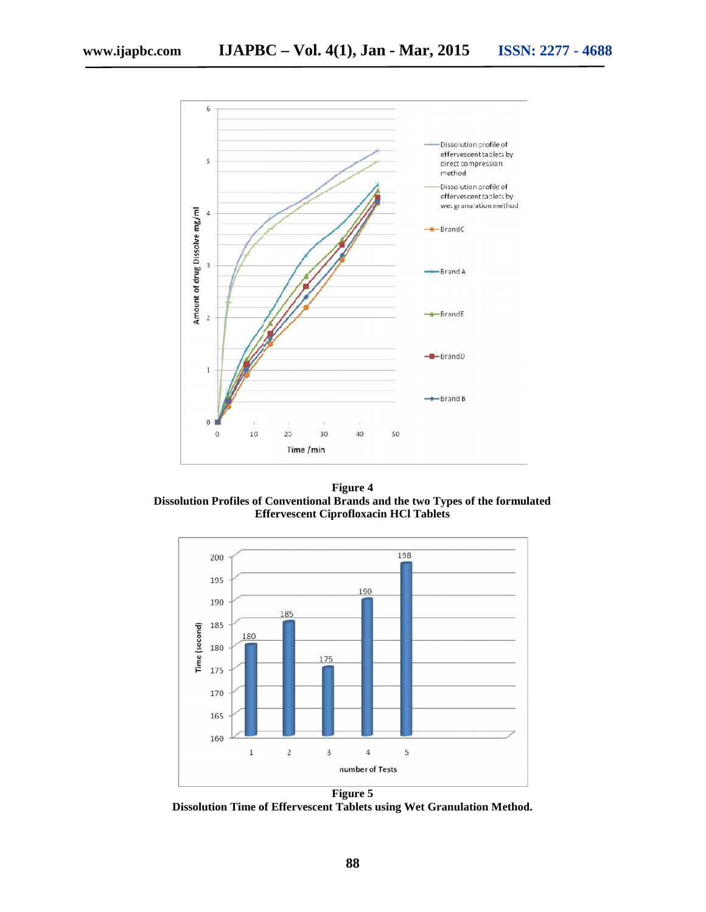

**Figure 4 Dissolution Profiles of Conventional Brands and the two Types of the formulated Effervescent Ciprofloxacin HCl Tablets**



**Dissolution Time of Effervescent Tablets using Wet Granulation Method.**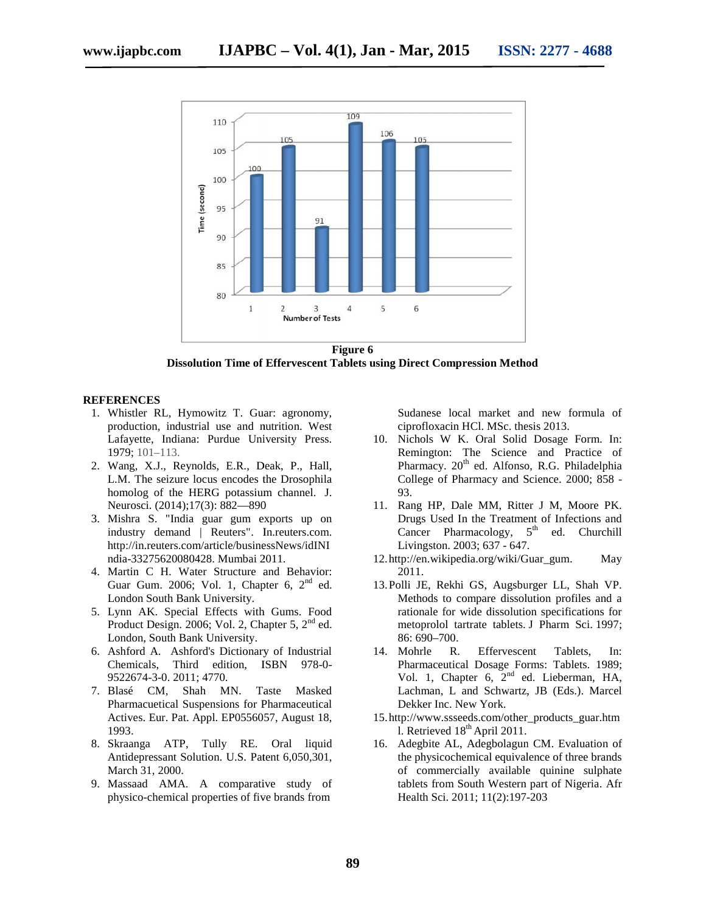

**Figure 6 Dissolution Time of Effervescent Tablets using Direct Compression Method** 

#### **REFERENCES**

- 1. Whistler RL, Hymowitz T. Guar: agronomy, Whistler RL, Hymowitz T. Guar: agronomy,<br>production, industrial use and nutrition. West Lafayette, Indiana: Purdue University Press. 1979; 101–113.
- 2. Wang, X.J., Reynolds, E.R., Deak, P., Hall, L.M. The seizure locus encodes the Drosophila L.M. The seizure locus encodes the Drosophila<br>homolog of the HERG potassium channel. J. Neurosci. (2014);17(3): 882—890 (2014);17(3):
- 3. Mishra S. "India guar gum exports up on exports up industry demand | Reuters". In.reuters.com. http://in.reuters.com/article/businessNews/idINI ndia-33275620080428. Mumbai 2011. ndia-33275620080428.
- 4. Martin C H. Water Structure and Behavior: Guar Gum. 2006; Vol. 1, Chapter 6,  $2<sup>nd</sup>$  ed. London South Bank University.
- 5. Lynn AK. Special Effects with Gums. Food Product Design. 2006; Vol. 2, Chapter 5, 2<sup>nd</sup> ed. London, South Bank University. Lynn AK. Special Effects with Gums. Food<br>Product Design. 2006; Vol. 2, Chapter 5, 2<sup>nd</sup> ed.<br>London, South Bank University.<br>Ashford A. Ashford's Dictionary of Industrial<br>Chemicals, Third edition, ISBN 978-0-
- 6. Ashford A. Ashford's Dictionary of Industrial Chemicals, Third edition, ISBN 978-0- 9522674-3-0. 2011; 4770.
- 7. Blasé CM, Shah MN. Taste Masked Pharmacuetical Suspensions for Pharmaceutical Actives. Eur. Pat. Appl. EP0556057, August 18, 1993.
- 8. Skraanga ATP, Tully RE. Oral liquid Antidepressant Solution. U.S. Patent 6,050,301, March 31, 2000.
- 9. Massaad AMA. A comparative study of physico-chemical properties of five brands from

Sudanese local market and new formula of ciprofloxacin HCl. MSc. thesis 2013.

- 10. Nichols W K. Oral Solid Dosage Form. In: Remington: The Science and Practice of Pharmacy. 20<sup>th</sup> ed. Alfonso, R.G. Philadelphia College of Pharmacy and Science. 2000; 858 - 93.
- 11. Rang HP, Dale MM, Ritter J M, Moore PK. Drugs Used In the Treatment of Infections and Cancer Pharmacology,  $5<sup>th</sup>$  ed. Churchill Livingston. 2003; 637 - 647.
- 12.http://en.wikipedia.org/wiki/Guar\_gum. May 2011.
- 13.Polli JE, Rekhi GS, Augsburger LL, Shah VP. Methods to compare dissolution profiles and a rationale for wide dissolution specifications for metoprolol tartrate tablets. J Pharm Sci. 1997; 86: 690–700.
- 14. Mohrle R. Effervescent Tablets, In: Pharmaceutical Dosage Forms: Tablets. 1989; Vol. 1, Chapter 6, 2<sup>nd</sup> ed. Lieberman, HA, Lachman, L and Schwartz, JB (Eds.). Marcel Dekker Inc. New York.
- 15.http://www.ssseeds.com/other\_products\_guar.htm l. Retrieved  $18<sup>th</sup>$  April 2011.
- 16. Adegbite AL, Adegbolagun CM. Evaluation of the physicochemical equivalence of three brands of commercially available quinine sulphate tablets from South Western part of Nigeria. Afr Health Sci. 2011; 11(2):197-203 r RL, Hymowitz T. Guar: agronomy, Sudances local market and new formula of<br>
relation, industrial use and nutrition, West<br>
eignofiloxacin HCl. MSc. thesis 2013,<br>
10. Nichols W. K. Oral Solid Dosage Form. In:<br>
11.3. Reynold